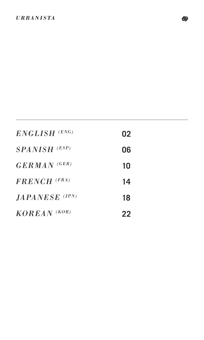

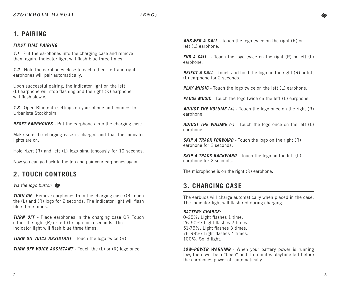## **1. PAIRING**

## *FIRST TIME PAIRING*

*1.1 -* Put the earphones into the charging case and remove them again. Indicator light will flash blue three times.

*1.2 -* Hold the earphones close to each other. Left and right earphones will pair automatically.

Upon successful pairing, the indicator light on the left (L) earphone will stop flashing and the right (R) earphone will flash slowly.

*1.3 -* Open Bluetooth settings on your phone and connect to Urbanista Stockholm.

*RESET EARPHONES -* Put the earphones into the charging case.

Make sure the charging case is charged and that the indicator lights are on.

Hold right (R) and left (L) logo simultaneously for 10 seconds.

Now you can go back to the top and pair your earphones again.

## **2. TOUCH CONTROLS**

*Via the logo button*

*TURN ON* - Remove earphones from the charging case OR Touch the (L) and (R) logo for 2 seconds. The indicator light will flash blue three times.

*TURN OFF* - Place earphones in the charging case OR Touch either the right (R) or left (L) logo for 5 seconds. The indicator light will flash blue three times.

*TURN ON VOICE ASSISTANT -* Touch the logo twice (R).

*TURN OFF VOICE ASSISTANT -* Touch the (L) or (R) logo once.

*ANSWER A CALL -* Touch the logo twice on the right (R) or left (L) earphone.

*END A CALL -* Touch the logo twice on the right (R) or left (L) earphone.

*REJECT A CALL -* Touch and hold the logo on the right (R) or left (L) earphone for 2 seconds.

*PLAY MUSIC* - Touch the logo twice on the left (L) earphone.

**PAUSE MUSIC** - Touch the logo twice on the left (L) earphone.

*ADJUST THE VOLUME (+) -* Touch the logo once on the right (R) earphone.

*ADJUST THE VOLUME (-) -* Touch the logo once on the left (L) earphone.

*SKIP A TRACK FORWARD - Touch the logo on the right (R)* earphone for 2 seconds.

*SKIP A TRACK BACKWARD - Touch the logo on the left (L)* earphone for 2 seconds.

The microphone is on the right (R) earphone.

## **3. CHARGING CASE**

The earbuds will charge automatically when placed in the case. The indicator light will flash red during charging.

## *BATTERY CHARGE:*

0-25%: Light flashes 1 time. 26-50%: Light flashes 2 times. 51-75%: Light flashes 3 times. 76-99%: Light flashes 4 times. 100%: Solid light.

*LOW-POWER WARNING -* When your battery power is running low, there will be a "beep" and 15 minutes playtime left before the earphones power off automatically.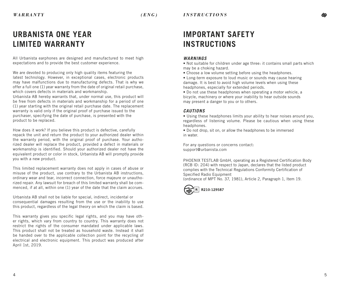# **URBANISTA ONE YEAR LIMITED WARRANTY**

All Urbanista earphones are designed and manufactured to meet high expectations and to provide the best customer experience.

We are devoted to producing only high quality items featuring the latest technology. However, in exceptional cases, electronic products may have malfunctions due to manufacturing defects. That is why we offer a full one (1) year warranty from the date of original retail purchase, which covers defects in materials and workmanship.

Urbanista AB hereby warrants that, under normal use, this product will be free from defects in materials and workmanship for a period of one (1) year starting with the original retail purchase date. The replacement warranty is valid only if the original proof of purchase issued to the purchaser, specifying the date of purchase, is presented with the product to be replaced.

How does it work? If you believe this product is defective, carefully repack the unit and return the product to your authorized dealer within the warranty period, with the original proof of purchase. Your authorized dealer will replace the product, provided a defect in materials or workmanship is identified. Should your authorized dealer not have the equivalent product or color in stock, Urbanista AB will promptly provide you with a new product.

This limited replacement warranty does not apply in cases of abuse or misuse of the product, use contrary to the Urbanista AB instructions, ordinary wear and tear, incorrect connection, force majeure or unauthorized repair. Any lawsuit for breach of this limited warranty shall be commenced, if at all, within one (1) year of the date that the claim accrues.

Urbanista AB shall not be liable for special, indirect, incidental or consequential damages resulting from the use or the inability to use this product, regardless of the legal theory on which the claim is based.

This warranty gives you specific legal rights, and you may have other rights, which vary from country to country. This warranty does not restrict the rights of the consumer mandated under applicable laws. This product shall not be treated as household waste. Instead it shall be handed over to the applicable collection point for the recycling of electrical and electronic equipment. This product was produced after April 1st, 2019.

# **IMPORTANT SAFETY INSTRUCTIONS**

## *WARNINGS*

• Not suitable for children under age three: it contains small parts which may be a choking hazard.

• Choose a low volume setting before using the headphones.

• Long-term exposure to loud music or sounds may cause hearing damage. It is best to avoid high volume levels when using these headphones, especially for extended periods.

• Do not use these headphones when operating a motor vehicle, a bicycle, machinery or where your inability to hear outside sounds may present a danger to you or to others.

### *CAUTIONS*

• Using these headphones limits your ability to hear noises around you, regardless of listening volume. Please be cautious when using these headphones.

• Do not drop, sit on, or allow the headphones to be immersed in water.

For any questions or concerns contact: support@urbanista.com

PHOENIX TESTLAB GmbH, operating as a Registered Certification Body (RCB ID: 204) with respect to Japan, declares that the listed product complies with the Technical Regulations Conformity Certification of Specified Radio Equipment (ordinance of MPT No. 37, 1981), Article 2, Paragraph 1, Item 19.

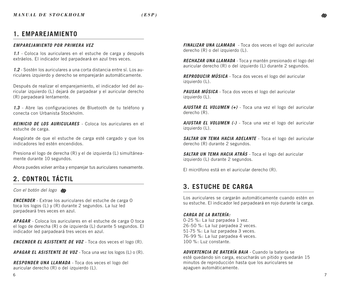## **1. EMPAREJAMIENTO**

## *EMPAREJAMIENTO POR PRIMERA VEZ*

*1.1 -* Coloca los auriculares en el estuche de carga y después extráelos. El indicador led parpadeará en azul tres veces.

*1.2 -* Sostén los auriculares a una corta distancia entre sí. Los auriculares izquierdo y derecho se emparejarán automáticamente.

Después de realizar el emparejamiento, el indicador led del auricular izquierdo (L) dejará de parpadear y el auricular derecho (R) parpadeará lentamente.

*1.3 -* Abre las configuraciones de Bluetooth de tu teléfono y conecta con Urbanista Stockholm.

*REINICIO DE LOS AURICULARES -* Coloca los auriculares en el estuche de carga.

Asegúrate de que el estuche de carga esté cargado y que los indicadores led estén encendidos.

Presiona el logo de derecha (R) y el de izquierda (L) simultáneamente durante 10 segundos.

Ahora puedes volver arriba y emparejar tus auriculares nuevamente.

# **2. CONTROL TÁCTIL**

*Con el botón del logo*

*ENCENDER -* Extrae los auriculares del estuche de carga O toca los logos (L) y (R) durante 2 segundos. La luz led parpadeará tres veces en azul.

*APAGAR -* Coloca los auriculares en el estuche de carga O toca el logo de derecha (R) o de izquierda (L) durante 5 segundos. El indicador led parpadeará tres veces en azul.

*ENCENDER EL ASISTENTE DE VOZ -* Toca dos veces el logo (R).

*APAGAR EL ASISTENTE DE VOZ -* Toca una vez los logos (L) o (R).

*RESPONDER UNA LLAMADA -* Toca dos veces el logo del auricular derecho (R) o del izquierdo (L).

*FINALIZAR UNA LLAMADA -* Toca dos veces el logo del auricular derecho (R) o del izquierdo (L).

*RECHAZAR UNA LLAMADA -* Toca y mantén presionado el logo del auricular derecho (R) o del izquierdo (L) durante 2 segundos.

*REPRODUCIR MÚSICA -* Toca dos veces el logo del auricular izquierdo (L).

*PAUSAR MÚSICA -* Toca dos veces el logo del auricular izquierdo (L).

*AJUSTAR EL VOLUMEN (+) -* Toca una vez el logo del auricular derecho (R).

*AJUSTAR EL VOLUMEN (-) -* Toca una vez el logo del auricular izquierdo (L).

*SALTAR UN TEMA HACIA ADELANTE -* Toca el logo del auricular derecho (R) durante 2 segundos.

*SALTAR UN TEMA HACIA ATRÁS -* Toca el logo del auricular izquierdo (L) durante 2 segundos.

El micrófono está en el auricular derecho (R).

## **3. ESTUCHE DE CARGA**

Los auriculares se cargarán automáticamente cuando estén en su estuche. El indicador led parpadeará en rojo durante la carga.

### *CARGA DE LA BATERÍA:*

0-25 %: La luz parpadea 1 vez. 26-50 %: La luz parpadea 2 veces. 51-75 %: La luz parpadea 3 veces. 76-99 %: La luz parpadea 4 veces. 100 %: Luz constante.

*ADVERTENCIA DE BATERÍA BAJA -* Cuando la batería se esté quedando sin carga, escucharás un pitido y quedarán 15 minutos de reproducción hasta que los auriculares se apaguen automáticamente.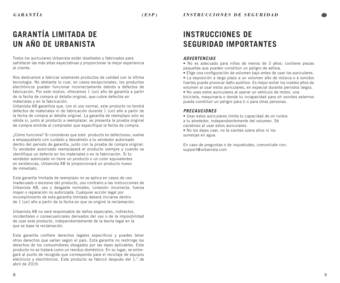## *GARANTÍA INSTRUCCIONES DE SEGURIDAD*

*(ESP)*

# **GARANTÍA LIMITADA DE UN AÑO DE URBANISTA**

Todos los auriculares Urbanista están diseñados y fabricados para satisfacer las más altas expectativas y proporcionar la mejor experiencia al cliente.

Nos dedicamos a fabricar solamente productos de calidad con la última tecnología. No obstante lo cual, en casos excepcionales, los productos electrónicos pueden funcionar incorrectamente debido a defectos de fabricación. Por este motivo, ofrecemos 1 (un) año de garantía a partir de la fecha de compra al detalle original, que cubre defectos en materiales y en la fabricación.

Urbanista AB garantiza que, con el uso normal, este producto no tendrá defectos de materiales ni de fabricación durante 1 (un) año a partir de la fecha de compra al detalle original. La garantía de reemplazo solo es válida si, junto al producto a reemplazar, se presenta la prueba original de compra emitida al comprador que especifique la fecha de compra.

¿Cómo funciona? Si consideras que este producto es defectuoso, vuelve a empaquetarlo con cuidado y devuélvelo a tu vendedor autorizado dentro del periodo de garantía, junto con la prueba de compra original. Tu vendedor autorizado reemplazará el producto siempre y cuando se identifique un defecto en los materiales o en la fabricación. Si tu vendedor autorizado no tiene un producto o un color equivalentes en existencias, Urbanista AB te proporcionará un producto nuevo de inmediato.

Esta garantía limitada de reemplazo no se aplica en casos de uso inadecuado o excesivo del producto, uso contrario a las instrucciones de Urbanista AB, uso y desgaste normales, conexión incorrecta, fuerza mayor o reparación no autorizada. Cualquier acción legal por incumplimiento de esta garantía limitada deberá iniciarse dentro de 1 (un) año a partir de la fecha en que se originó la reclamación.

Urbanista AB no será responsable de daños especiales, indirectos, incidentales o consecuenciales derivados del uso o de la imposibilidad de usar este producto, independientemente de la teoría legal en la que se base la reclamación.

Esta garantía confiere derechos legales específicos y puedes tener otros derechos que varían según el país. Esta garantía no restringe los derechos de los consumidores otorgados por las leyes aplicables. Este producto no se tratará como un residuo doméstico. En su lugar, se entregará al punto de recogida que corresponda para el reciclaje de equipos eléctricos y electrónicos. Este producto se fabricó después del 1.° de abril de 2019.

# **INSTRUCCIONES DE SEGURIDAD IMPORTANTES**

## *ADVERTENCIAS*

• No es adecuado para niños de menos de 3 años; contiene piezas pequeñas que pueden constituir un peligro de asfixia.

• Elige una configuración de volumen bajo antes de usar los auriculares.

• La exposición a largo plazo a un volumen alto de música o a sonidos fuertes puede provocar daño auditivo. Es mejor evitar los niveles altos de volumen al usar estos auriculares, en especial durante periodos largos.

• No uses estos auriculares al operar un vehículo de motor, una bicicleta, maquinaria o donde tu incapacidad para oír sonidos externos pueda constituir un peligro para ti o para otras personas.

### *PRECAUCIONES*

• Usar estos auriculares limita tu capacidad de oír ruidos a tu alrededor, independientemente del volumen. Sé cauteloso al usar estos auriculares.

• No los dejes caer, no te sientes sobre ellos ni los sumerias en agua.

En caso de preguntas o de inquietudes, comunícate con: support@urbanista.com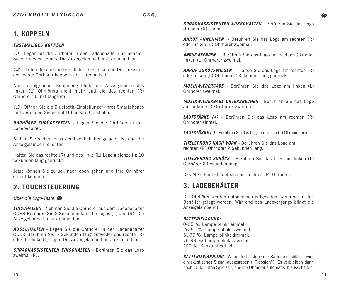## **1. KOPPELN**

## *ERSTMALIGES KOPPELN*

*1.1* - Legen Sie die Ohrhörer in den Ladebehälter und nehmen Sie sie wieder heraus. Die Anzeigelampe blinkt dreimal blau.

*1.2* - Halten Sie die Ohrhörer dicht nebeneinander. Der linke und der rechte Ohrhörer koppeln sich automatisch.

Nach erfolgreicher Koppelung blinkt die Anzeigelampe des linken (L) Ohrhörers nicht mehr und die des rechten (R) Ohrhörers blinkt langsam.

*1.3* - Öffnen Sie die Bluetooth-Einstellungen Ihres Smartphones und verbinden Sie es mit Urbanista Stockholm.

*OHRHÖRER ZURÜCKSETZEN -* Legen Sie die Ohrhörer in den Ladebehälter.

Stellen Sie sicher, dass der Ladebehälter geladen ist und die Anzeigelampen leuchten.

Halten Sie das rechte (R) und das linke (L) Logo gleichzeitig 10 Sekunden lang gedrückt.

Jetzt können Sie zurück nach oben gehen und Ihre Ohrhörer erneut koppeln.

## **2. TOUCHSTEUERUNG**

*Über die Logo-Taste*

*EINSCHALTEN -* Nehmen Sie die Ohrhörer aus dem Ladebehälter ODER Berühren Sie 2 Sekunden lang die Logos (L) und (R). Die Anzeigelampe blinkt dreimal blau.

*AUSSCHALTEN -* Legen Sie die Ohrhörer in den Ladebehälter ODER Berühren Sie 5 Sekunden lang entweder das rechte (R) oder der linke (L) Logo. Die Anzeigelampe blinkt dreimal blau.

*SPRACHASSISTENTEN EINSCHALTEN -* Berühren Sie das Logo zweimal (R).

*SPRACHASSISTENTEN AUSSCHALTEN -* Berühren Sie das Logo (L) oder (R) einmal.

*ANRUF ANNEHMEN -* Berühren Sie das Logo am rechten (R) oder linken (L) Ohrhörer zweimal.

*ANRUF BEENDEN -* Berühren Sie das Logo am rechten (R) oder linken (L) Ohrhörer zweimal.

*ANRUF ZURÜCKWEISEN -* Halten Sie das Logo am rechten (R) oder linken (L) Ohrhörer 2 Sekunden lang gedrückt.

*MUSIKWIEDERGABE -* Berühren Sie das Logo am linken (L) Ohrhörer zweimal.

*MUSIKWIEDERGABE UNTERBRECHEN -* Berühren Sie das Logo am linken (L) Ohrhörer zweimal.

*LAUTSTÄRKE (+) -* Berühren Sie das Logo am rechten (R) Ohrhörer einmal.

*LAUTSTÄRKE (-) -* Berühren Sie das Logo am linken (L) Ohrhörer einmal.

*TITELSPRUNG NACH VORN -* Berühren Sie das Logo am rechten (R) Ohrhörer 2 Sekunden lang.

*TITELSPRUNG ZURÜCK -* Berühren Sie das Logo am linken (L) Ohrhörer 2 Sekunden lang.

Das Mikrofon befindet sich am rechten (R) Ohrhörer.

## **3. LADEBEHÄLTER**

Die Ohrhörer werden automatisch aufgeladen, wenn sie in den Behälter gelegt werden. Während des Ladevorgangs blinkt die Anzeigelampe rot.

### *BATTERIELADUNG:*

0-25 %: Lampe blinkt einmal. 26-50 %: Lampe blinkt zweimal. 51-75 %: Lampe blinkt dreimal. 76-99 %: Lampe blinkt viermal. 100 %: Konstantes Licht.

*BATTERIEWARNUNG -* Wenn die Leistung der Batterie nachlässt, wird ein akustisches Signal ausgegeben ("Piepston"). Es verbleiben dann noch 15 Minuten Spielzeit, ehe die Ohrhörer automatisch ausschalten.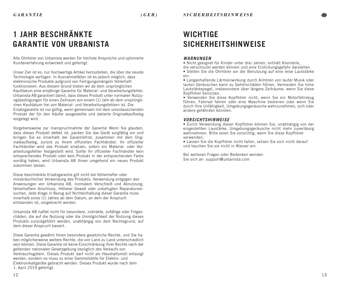*(GER)*

# **1 JAHR BESCHRÄNKTE GARANTIE VON URBANISTA**

Alle Ohrhörer von Urbanista werden für höchste Ansprüche und optimierte Kundenerfahrung entwickelt und gefertigt.

Unser Ziel ist es, nur hochwertige Artikel herzustellen, die über die neuste Technologie verfügen. In Ausnahmefällen ist es jedoch möglich, dass elektronische Produkte aufgrund von Fertigungsmängeln fehlerhaft funktionieren. Aus diesem Grund bieten wir ab dem ursprünglichen Kaufdatum eine einjährige Garantie für Material- und Verarbeitungsfehler. Urbanista AB garantiert damit, dass dieses Produkt unter normalen Nutzungsbedingungen für einen Zeitraum von einem (1) Jahr ab dem ursprünglichen Kaufdatum frei von Material- und Verarbeitungsfehlern ist. Die Ersatzgarantie ist nur gültig, wenn gemeinsam mit dem umzutauschenden Produkt der für den Käufer ausgestellte und datierte Originalkaufbeleg vorgelegt wird.

Vorgehensweise zur Inanspruchnahme der Garantie Wenn Sie glauben, dass dieses Produkt defekt ist, packen Sie das Gerät sorgfältig ein und bringen Sie es innerhalb der Garantiefrist, zusammen mit dem Originalkaufbeleg, zurück zu Ihrem offiziellen Fachhändler. Ihr offizieller Fachhändler wird das Produkt ersetzen, sofern ein Material- oder Verarbeitungsfehler festgestellt wird. Sollte Ihr offizieller Fachhändler kein entsprechendes Produkt oder kein Produkt in der entsprechenden Farbe vorrätig haben, wird Urbanista AB Ihnen umgehend ein neues Produkt zukommen lassen.

Diese beschränkte Ersatzgarantie gilt nicht bei fehlerhafter oder missbräuchlicher Verwendung des Produkts, Verwendung entgegen den Anweisungen von Urbanista AB, normalem Verschleiß und Abnutzung, fehlerhaftem Anschluss, Höherer Gewalt oder unbefugten Reparaturversuchen. Jede Klage in Bezug auf Nichteinhaltung dieser Garantie muss innerhalb eines (1) Jahres ab dem Datum, an dem der Anspruch entstanden ist, vorgebracht werden.

Urbanista AB haftet nicht für besondere, indirekte, zufällige oder Folgeschäden, die auf die Nutzung oder die Unmöglichkeit der Nutzung dieses Produkts zurückgeführt werden, unabhängig von dem Rechtsgrund, auf dem dieser Anspruch basiert.

Diese Garantie gewährt Ihnen besondere gesetzliche Rechte, und Sie haben möglicherweise weitere Rechte, die von Land zu Land unterschiedlich sein können. Diese Garantie ist keine Einschränkung Ihrer Rechte nach der geltenden nationalen Gesetzgebung bezüglich des Verkaufs von Verbrauchsgütern. Dieses Produkt darf nicht als Haushaltsmüll entsorgt werden, sondern es muss zu einer Sammelstelle für Elektro- und Elektronikaltgeräte gebracht werden. Dieses Produkt wurde nach dem 1. April 2019 gefertigt.

# **WICHTIGE SICHERHEITSHINWEISE**

### *WARNUNGEN*

• Nicht geeignet für Kinder unter drei Jahren; enthält Kleinteile,

die verschluckt werden können und eine Erstickungsgefahr darstellen. • Stellen Sie die Ohrhörer vor der Benutzung auf eine leise Lautstärke ein.

• Langanhaltende Lärmeinwirkung durch Anhören von lauter Musik oder lauten Geräuschen kann zu Gehörschäden führen. Vermeiden Sie hohe Lautstärkepegel, insbesondere über längere Zeiträume, wenn Sie diese Kopfhörer benutzen.

• Verwenden Sie diese Kopfhörer nicht, wenn Sie ein Motorfahrzeug führen, Fahrrad fahren oder eine Maschine bedienen oder wenn Sie durch Ihre Unfähigkeit, Umgebungsgeräusche wahrzunehmen, sich oder andere gefährden könnten.

### *VORSICHTSHINWEISE*

• Durch Verwendung dieser Kopfhörer können Sie, unabhängig von der eingestellten Laustärke, Umgebungsgeräusche nicht mehr zuverlässig wahrnehmen. Bitte seien Sie vorsichtig, wenn Sie diese Kopfhörer verwenden.

• Lassen Sie die Kopfhörer nicht fallen, setzen Sie sich nicht darauf und tauchen Sie sie nicht in Wasser ein.

Bei weiteren Fragen oder Bedenken wenden Sie sich an: support@urbanista.com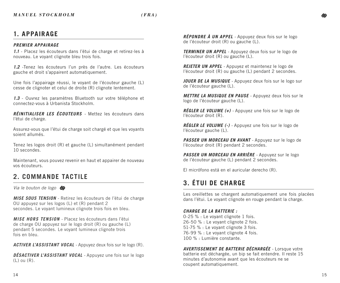## **1. APPAIRAGE**

## *PREMIER APPAIRAGE*

*1.1* - Placez les écouteurs dans l'étui de charge et retirez-les à nouveau. Le voyant clignote bleu trois fois.

*1.2* -Tenez les écouteurs l'un près de l'autre. Les écouteurs gauche et droit s'appairent automatiquement.

Une fois l'appairage réussi, le voyant de l'écouteur gauche (L) cesse de clignoter et celui de droite (R) clignote lentement.

*1.3* - Ouvrez les paramètres Bluetooth sur votre téléphone et connectez-vous à Urbanista Stockholm.

*RÉINITIALISER LES ÉCOUTEURS -* Mettez les écouteurs dans l'étui de charge.

Assurez-vous que l'étui de charge soit chargé et que les voyants soient allumés.

Tenez les logos droit (R) et gauche (L) simultanément pendant 10 secondes.

Maintenant, vous pouvez revenir en haut et appairer de nouveau vos écouteurs.

## **2. COMMANDE TACTILE**

*Via le bouton de logo*

*MISE SOUS TENSION -* Retirez les écouteurs de l'étui de charge OU appuyez sur les logos (L) et (R) pendant 2 secondes. Le voyant lumineux clignote trois fois en bleu.

*MISE HORS TENSION -* Placez les écouteurs dans l'étui de charge OU appuyez sur le logo droit (R) ou gauche (L) pendant 5 secondes. Le voyant lumineux clignote trois fois en bleu.

*ACTIVER L'ASSISTANT VOCAL -* Appuyez deux fois sur le logo (R).

*DÉSACTIVER L'ASSISTANT VOCAL -* Appuyez une fois sur le logo  $(1)$  ou  $(R)$ .

*RÉPONDRE À UN APPEL -* Appuyez deux fois sur le logo de l'écouteur droit (R) ou gauche (L).

*TERMINER UN APPEL -* Appuyez deux fois sur le logo de l'écouteur droit (R) ou gauche (L).

*REJETER UN APPEL -* Appuyez et maintenez le logo de l'écouteur droit (R) ou gauche (L) pendant 2 secondes.

*JOUER DE LA MUSIQUE -* Appuyez deux fois sur le logo sur de l'écouteur gauche (L).

*METTRE LA MUSIQUE EN PAUSE -* Appuyez deux fois sur le logo de l'écouteur gauche (L).

*RÉGLER LE VOLUME (+) -* Appuyez une fois sur le logo de l'écouteur droit (R).

*RÉGLER LE VOLUME (-) -* Appuyez une fois sur le logo de l'écouteur gauche (L).

*PASSER UN MORCEAU EN AVANT -* Appuyez sur le logo de l'écouteur droit (R) pendant 2 secondes.

*PASSER UN MORCEAU EN ARRIÈRE -* Appuyez sur le logo de l'écouteur gauche (L) pendant 2 secondes.

El micrófono está en el auricular derecho (R).

# **3. ÉTUI DE CHARGE**

Les oreillettes se chargent automatiquement une fois placées dans l'étui. Le voyant clignote en rouge pendant la charge.

### *CHARGE DE LA BATTERIE :*

0-25 % : Le voyant clignote 1 fois. 26-50 % : Le voyant clignote 2 fois. 51-75 % : Le voyant clignote 3 fois. 76-99 % : Le voyant clignote 4 fois. 100 % : Lumière constante.

*AVERTISSEMENT DE BATTERIE DÉCHARGÉE -* Lorsque votre batterie est déchargée, un bip se fait entendre. Il reste 15 minutes d'autonomie avant que les écouteurs ne se coupent automatiquement.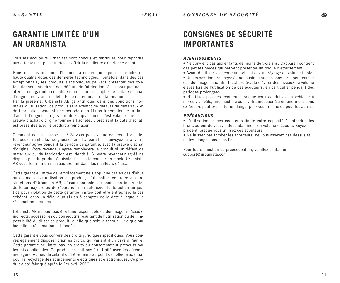*(FRA)*

# **GARANTIE LIMITÉE D'UN AN URBANISTA**

Tous les écouteurs Urbanista sont conçus et fabriqués pour répondre aux attentes les plus strictes et offrir la meilleure expérience client.

Nous mettons un point d'honneur à ne produire que des articles de haute qualité dotés des dernières technologies. Toutefois, dans des cas exceptionnels, les produits électroniques peuvent présenter des dysfonctionnements dus à des défauts de fabrication. C'est pourquoi nous offrons une garantie complète d'un (1) an à compter de la date d'achat d'origine, couvrant les défauts de matériaux et de fabrication.

Par la présente, Urbanista AB garantit que, dans des conditions normales d'utilisation, ce produit sera exempt de défauts de matériaux et de fabrication pendant une période d'un (1) an à compter de la date d'achat d'origine. La garantie de remplacement n'est valable que si la preuve d'achat d'origine fournie à l'acheteur, précisant la date d'achat, est présentée avec le produit à remplacer.

Comment cela se passe-t-il ? Si vous pensez que ce produit est défectueux, remballez soigneusement l'appareil et renvoyez-le à votre revendeur agréé pendant la période de garantie, avec la preuve d'achat d'origine. Votre revendeur agréé remplacera le produit si un défaut de matériaux ou de fabrication est identifié. Si votre revendeur agréé ne dispose pas du produit équivalent ou de la couleur en stock, Urbanista AB vous fournira un nouveau produit dans les meilleurs délais.

Cette garantie limitée de remplacement ne s'applique pas en cas d'abus ou de mauvaise utilisation du produit, d'utilisation contraire aux instructions d'Urbanista AB, d'usure normale, de connexion incorrecte, de force majeure ou de réparation non autorisée. Toute action en justice pour violation de cette garantie limitée doit être entreprise, le cas échéant, dans un délai d'un (1) an à compter de la date à laquelle la réclamation a eu lieu.

Urbanista AB ne peut pas être tenu responsable de dommages spéciaux, indirects, accessoires ou consécutifs résultant de l'utilisation ou de l'impossibilité d'utiliser ce produit, quelle que soit la théorie juridique sur laquelle la réclamation est fondée.

Cette garantie vous confère des droits juridiques spécifiques. Vous pouvez également disposer d'autres droits, qui varient d'un pays à l'autre. Cette garantie ne limite pas les droits du consommateur prescrits par les lois applicables. Ce produit ne doit pas être traité avec les déchets ménagers. Au lieu de cela, il doit être remis au point de collecte adéquat pour le recyclage des équipements électriques et électroniques. Ce produit a été fabriqué après le 1er avril 2019.

# **CONSIGNES DE SÉCURITÉ IMPORTANTES**

## *AVERTISSEMENTS*

• Ne convient pas aux enfants de moins de trois ans. L'appareil contient des petites pièces qui peuvent présenter un risque d'étouffement.

• Avant d'utiliser les écouteurs, choisissez un réglage de volume faible.

• Une exposition prolongée à une musique ou des sons forts peut causer des dommages auditifs. Il est préférable d'éviter des niveaux de volume élevés lors de l'utilisation de ces écouteurs, en particulier pendant des périodes prolongées.

• N'utilisez pas ces écouteurs lorsque vous conduisez un véhicule à moteur, un vélo, une machine ou si votre incapacité à entendre des sons extérieurs peut présenter un danger pour vous-même ou pour les autres.

## *PRÉCAUTIONS*

• L'utilisation de ces écouteurs limite votre capacité à entendre des bruits autour de vous, indépendamment du volume d'écoute. Soyez prudent lorsque vous utilisez ces écouteurs.

• Ne laissez pas tomber les écouteurs, ne vous asseyez pas dessus et ne les plongez pas dans l'eau.

Pour toute question ou préoccupation, veuillez contacter: support@urbanista.com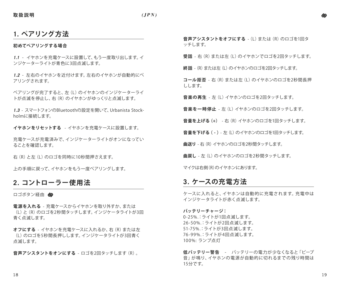## **1. ペアリング方法**

### **初めてペアリングする場合**

*1.1* - イヤホンを充電ケースに設置して、もう一度取り出します。イ ンジケーターライトが青色に3回点滅します。

*1.2* - 左右のイヤホンを近付けます。左右のイヤホンが自動的にペ アリングされます。

ペアリングが完了すると、左(L)のイヤホンのインジケーターライ トが点滅を停止し、右(R)のイヤホンがゆっくりと点滅します。

*1.3* - スマートフォンのBluetoothの設定を開いて、Urbanista Stockholmに接続します。

**イヤホンをリセットする** *-* イヤホンを充電ケースに設置します。

充電ケースが充電済みで、インジケーターライトがオンになってい ることを確認します。

右(R)と左(L)のロゴを同時に10秒間押さえます。

上の手順に戻って、イヤホンをもう一度ペアリングします。

## **2. コントローラー使用法**

ロゴボタン経由 6

**電源を入れる** *-* 充電ケースからイヤホンを取り外すか、または (L)と(R)のロゴを2秒間タッチします。インジケータライトが3回 青く点滅します。

**オフにする** *-* イヤホンを充電ケースに入れるか、右(R)または左 (L)のロゴを5秒間長押しします。インジケータライトが3回青く 点滅します。

**音声アシスタントをオンにする** *-* ロゴを2回タッチします(R)。

**音声アシスタントをオフにする** *-*(L)または(R)のロゴを1回タ ッチします。

**受話** *-* 右(R)または左(L)のイヤホンでロゴを2回タッチします。

**終話** *-*(R)または左(L)のイヤホンのロゴを2回タッチします。

**コール拒否** *-* 右(R)または左(L)のイヤホンのロゴを2秒間長押 しします。

**音楽の再生** *-* 左(L)イヤホンのロゴを2回タッチします。

**音楽を一時停止** *-* 左(L)イヤホンのロゴを2回タッチします。

**音量を上げる(+)** *-* 右(R)イヤホンのロゴを1回タッチします。

**音量を下げる( - )***-* 左(L)のイヤホンのロゴを1回タッチします。

**曲送り** *-* 右(R)イヤホンのロゴを2秒間タッチします。

**曲戻し** - 左(L)のイヤホンのロゴを2秒間タッチします。

マイクは右側(R)のイヤホンにあります。

## **3. ケースの充電方法**

ケースに入れると、イヤホンは自動 的に充電されます。充電中は インジケータライトが赤く点滅します。

**バッテリーチャージ:**

0 -25%.:ライトが1回点滅します。 26 -50%.:ライトが2回点滅します。 51-75%.:ライトが3回点滅します。 76 -99%.:ライトが4回点滅します。 100%: ランプ点灯

**低 バッテリー警告** - バッテリーの電力が少なくなると「ビープ 音」が鳴り、イヤホンの電源が自動的に切れるまでの残り時間は 15分です。

 $18$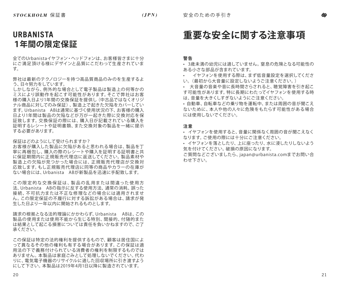# **URBANISTA 1年間の限定保証**

全てのUrbanistaイヤフォン・ヘッドフォンは、お客様皆さまに十分 にご 満足頂ける様にデザインと品質にこだわって生産されていま す。

弊社は最新のテクノロジーを持つ高品質商品のみのを生産するよ う、日々努力をしています。

しかしながら、例外的な場合として電子製品は製造上の何等かの ミスにより誤動作を起こす可能性があります。そこで弊社はお客 様の購入日より1年間の交換保証を提供し(中古品ではなくオリジ ナル商品に対してのみ保証)、製造上で起きた欠陥をカバーしてい ます。Urbanista ABは通常に基づく使用状況の下、お客様の購入 日より1年間は製品の欠陥などが万が一起きた際に交換対応を保 証致します。交換保証の際には、購入日が記載されている購入を 証明するレシートや証明書類、また交換対象の製品を一緒に提示 する必要があります。

保証はどのようにして受けられますか?

お客様が購入した製品に欠陥があると思われる場合は、製品を丁 寧に再梱包し、購入の際のレシートや購入を証明する証明書と共 に保証期間内に正規販売代理店に返送してください。製品素材や 製造上の欠陥が見つかった場合には、正規販売代理店が交換対 応致します。もし正規販売代理店に同等の商品やカラーの在庫が ない場合には、Urbanista ABが新製品を迅速に手配致します。

この 限 定 的 な 交 換 保 証 は 、製 品 の 乱 用また は 間 違った 使 用 方 法、Urbanista ABの指示に反する使用方法、通常の消耗、誤った 接 続、不 可抗 力または不正な修 理などの場 合には適 用されませ ん。この限定保証の不履行に対する訴訟がある場合は、請求が発 生した日より一年以内に開始されるものとします。

請求の根拠となる法的理論にかかわらず、Urbanista ABは、この 製品の使用または使用不能から生じる特別、間接的、付随的また は結果として起こる損害については責任を負いかねますので、ご了 承ください。

この保証は特定の法的権利を提供するもので、顧客は居住国によ って異なるその他の権利も有する場合があります。この保証は適 用法の下で義務付けられている消費者の権利を制限するものでは ありません。本製品は家庭ごみとして処理しないでください。代わ りに、電気電子機器のリサイクルに適した回収場所に引き渡すよう にして下さい。本製品は2019年4月1日以降に製造されています。

# **重要な安全に関する注意事項**

### **警告**

• 3歳未満の幼児には適していません。窒息の危険となる可能性の ある小さな部品が含まれています。

• イヤフォンを使用する際は、まず低音量設定を選択してくださ い。(最初から大音量に設定しないようご注意ください。)

• 大音量の音楽や音に長時間さらされると、聴覚障害を引き起こ す可能性があります。特に長期にわたってイヤフォンを使用する時 は、音量を大きくしすぎないようにご注意ください。

• 自動車、自転車などの乗り物を運転中、または周囲の音が聞こえ ないために、本人や他の人々に危険をもたらす可能性がある場合 には使用しないでください。

### **注 意**

• イヤフォンを使用すると、音量に関係なく周囲の音が聞こえなく なります。ご使用の際には十分にご注意ください。

• イヤフォンを落としたり、上に座ったり、水に浸したりしないよう 気を付けてください。破損の原因になります。

ご質問などございましたら、japan@urbanista.comまでお問い合 わせ下さい。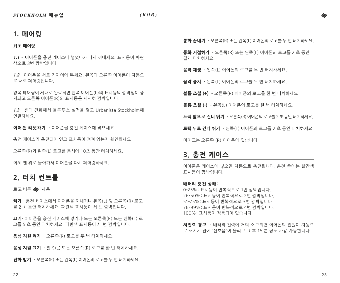## **1. 페어링**

### **최초 페어링**

*1.1* - 이어폰을 충전 케이스에 넣었다가 다시 꺼내세요. 표시등이 파란 색으로 3번 깜박입니다.

*1.2* - 이어폰을 서로 가까이에 두세요. 왼쪽과 오른쪽 이어폰이 자동으 로 서로 페어링됩니다.

양쪽 페어링이 제대로 완료되면 왼쪽 이어폰(L)의 표시등의 깜박임이 중 지되고 오른쪽 이어폰(R)의 표시등은 서서히 깜박입니다.

*1.3* - 휴대 전화에서 블루투스 설정을 열고 Urbanista Stockholm에 연결하세요.

**이어폰 리셋하기** - 이어폰을 충전 케이스에 넣으세요.

충전 케이스가 충전되어 있고 표시등이 켜져 있는지 확인하세요.

오른쪽(R)과 왼쪽(L) 로고를 동시에 10초 동안 터치하세요.

이제 맨 위로 돌아가서 이어폰을 다시 페어링하세요.

## **2. 터치 컨트롤**

### 로고 버튼 <mark>◇</mark> 사용

**켜기** - 충전 케이스에서 이어폰을 꺼내거나 왼쪽(L) 및 오른쪽(R) 로고 를 2 초 동안 터치하세요. 파란색 표시등이 세 번 깜박입니다.

**끄기**- 이어폰을 충전 케이스에 넣거나 또는 오른쪽(R) 또는 왼쪽(L) 로 고를 5 초 동안 터치하세요. 파란색 표시등이 세 번 깜박입니다.

**음성 지원 켜기** - 오른쪽(R) 로고를 두 번 터치하세요.

**음성 지원 끄기** - 왼쪽(L) 또는 오른쪽(R) 로고를 한 번 터치하세요.

**전화 받기** - 오른쪽(R) 또는 왼쪽(L) 이어폰의 로고를 두 번 터치하세요.

**통화 끝내기** - 오른쪽(R) 또는 왼쪽(L) 이어폰의 로고를 두 번 터치하세요.

**통화 거절하기** - 오른쪽(R) 또는 왼쪽(L) 이어폰의 로고를 2 초 동안 길게 터치하세요.

**음악 재생** - 왼쪽(L) 이어폰의 로고를 두 번 터치하세요.

**음악 중지** - 왼쪽(L) 이어폰의 로고를 두 번 터치하세요.

**볼륨 조절 (+)** – 오른쪽(R) 이어폰의 로고를 한 번 터치하세요.

**볼륨 조절 (-)** – 왼쪽(L) 이어폰의 로고를 한 번 터치하세요.

**트랙 앞으로 건너 뛰기** - 오른쪽(R) 이어폰의 로고를 2 초 동안 터치하세요.

**트랙 뒤로 건너 뛰기** - 왼쪽(L) 이어폰의 로고를 2 초 동안 터치하세요.

마이크는 오른쪽 (R) 이어폰에 있습니다.

## **3. 충전 케이스**

이어폰은 케이스에 넣으면 자동으로 충전됩니다. 충전 중에는 빨간색 표시등이 깜박입니다.

### **배터리 충전 상태:**

0-25%: 표시등이 반복적으로 1번 깜박입니다. 26-50%: 표시등이 반복적으로 2번 깜박입니다. 51-75%: 표시등이 반복적으로 3번 깜박입니다. 76-99%: 표시등이 반복적으로 4번 깜박입니다. 100%: 표시등이 점등되어 있습니다.

**저전력 경고** - 배터리 전력이 거의 소모되면 이어폰의 전원이 자동으 로 꺼지기 전에 "신호음"이 울리고 그 후 15 분 정도 사용 가능합니다.

∞